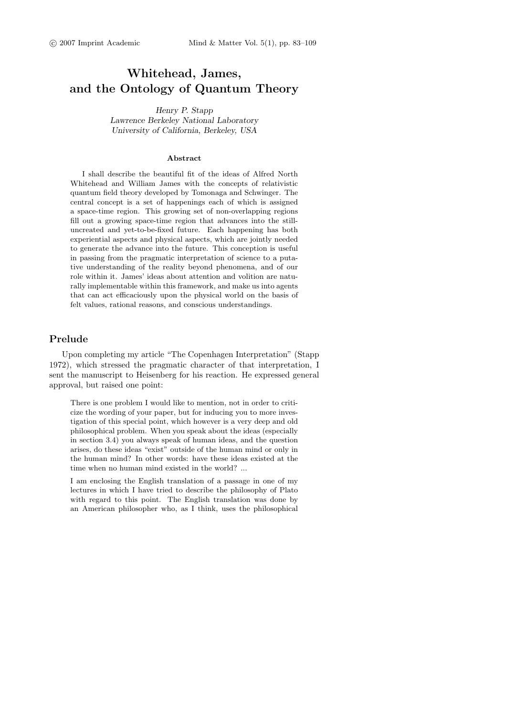# **Whitehead, James, and the Ontology of Quantum Theory**

*Henry P. Stapp*

*Lawrence Berkeley National Laboratory University of California, Berkeley, USA*

#### **Abstract**

I shall describe the beautiful fit of the ideas of Alfred North Whitehead and William James with the concepts of relativistic quantum field theory developed by Tomonaga and Schwinger. The central concept is a set of happenings each of which is assigned a space-time region. This growing set of non-overlapping regions fill out a growing space-time region that advances into the stilluncreated and yet-to-be-fixed future. Each happening has both experiential aspects and physical aspects, which are jointly needed to generate the advance into the future. This conception is useful in passing from the pragmatic interpretation of science to a putative understanding of the reality beyond phenomena, and of our role within it. James' ideas about attention and volition are naturally implementable within this framework, and make us into agents that can act efficaciously upon the physical world on the basis of felt values, rational reasons, and conscious understandings.

# **Prelude**

Upon completing my article "The Copenhagen Interpretation" (Stapp 1972), which stressed the pragmatic character of that interpretation, I sent the manuscript to Heisenberg for his reaction. He expressed general approval, but raised one point:

There is one problem I would like to mention, not in order to criticize the wording of your paper, but for inducing you to more investigation of this special point, which however is a very deep and old philosophical problem. When you speak about the ideas (especially in section 3.4) you always speak of human ideas, and the question arises, do these ideas "exist" outside of the human mind or only in the human mind? In other words: have these ideas existed at the time when no human mind existed in the world? ...

I am enclosing the English translation of a passage in one of my lectures in which I have tried to describe the philosophy of Plato with regard to this point. The English translation was done by an American philosopher who, as I think, uses the philosophical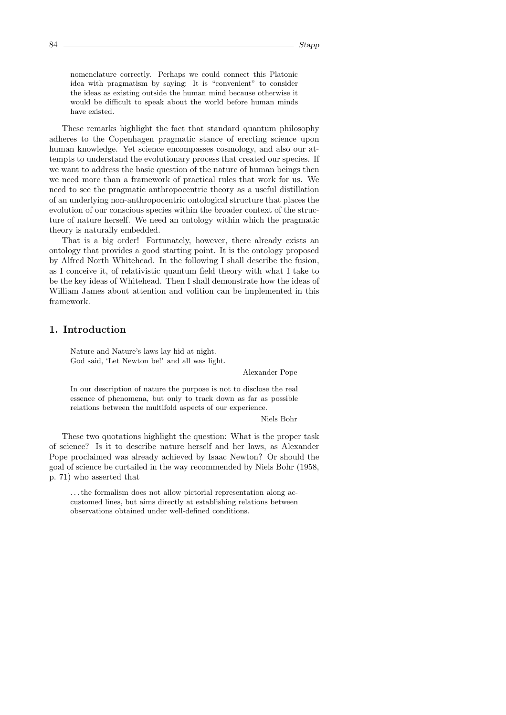nomenclature correctly. Perhaps we could connect this Platonic idea with pragmatism by saying: It is "convenient" to consider the ideas as existing outside the human mind because otherwise it would be difficult to speak about the world before human minds have existed.

These remarks highlight the fact that standard quantum philosophy adheres to the Copenhagen pragmatic stance of erecting science upon human knowledge. Yet science encompasses cosmology, and also our attempts to understand the evolutionary process that created our species. If we want to address the basic question of the nature of human beings then we need more than a framework of practical rules that work for us. We need to see the pragmatic anthropocentric theory as a useful distillation of an underlying non-anthropocentric ontological structure that places the evolution of our conscious species within the broader context of the structure of nature herself. We need an ontology within which the pragmatic theory is naturally embedded.

That is a big order! Fortunately, however, there already exists an ontology that provides a good starting point. It is the ontology proposed by Alfred North Whitehead. In the following I shall describe the fusion, as I conceive it, of relativistic quantum field theory with what I take to be the key ideas of Whitehead. Then I shall demonstrate how the ideas of William James about attention and volition can be implemented in this framework.

# **1. Introduction**

Nature and Nature's laws lay hid at night. God said, 'Let Newton be!' and all was light.

Alexander Pope

In our description of nature the purpose is not to disclose the real essence of phenomena, but only to track down as far as possible relations between the multifold aspects of our experience.

Niels Bohr

These two quotations highlight the question: What is the proper task of science? Is it to describe nature herself and her laws, as Alexander Pope proclaimed was already achieved by Isaac Newton? Or should the goal of science be curtailed in the way recommended by Niels Bohr (1958, p. 71) who asserted that

... the formalism does not allow pictorial representation along accustomed lines, but aims directly at establishing relations between observations obtained under well-defined conditions.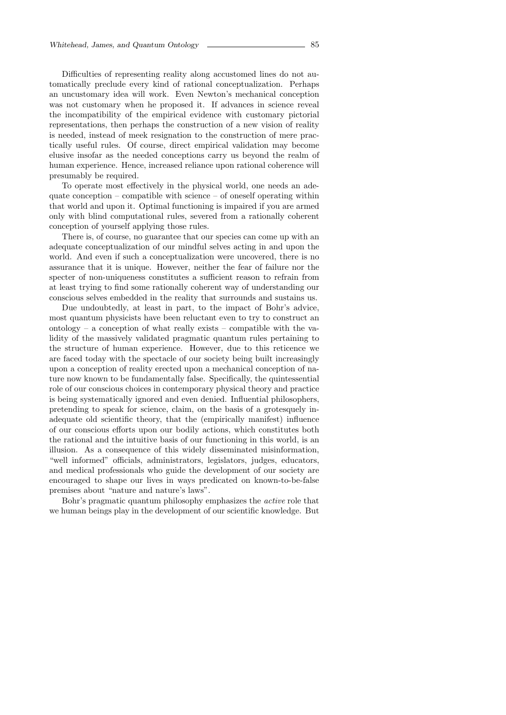Difficulties of representing reality along accustomed lines do not automatically preclude every kind of rational conceptualization. Perhaps an uncustomary idea will work. Even Newton's mechanical conception was not customary when he proposed it. If advances in science reveal the incompatibility of the empirical evidence with customary pictorial representations, then perhaps the construction of a new vision of reality is needed, instead of meek resignation to the construction of mere practically useful rules. Of course, direct empirical validation may become elusive insofar as the needed conceptions carry us beyond the realm of human experience. Hence, increased reliance upon rational coherence will presumably be required.

To operate most effectively in the physical world, one needs an adequate conception – compatible with science – of oneself operating within that world and upon it. Optimal functioning is impaired if you are armed only with blind computational rules, severed from a rationally coherent conception of yourself applying those rules.

There is, of course, no guarantee that our species can come up with an adequate conceptualization of our mindful selves acting in and upon the world. And even if such a conceptualization were uncovered, there is no assurance that it is unique. However, neither the fear of failure nor the specter of non-uniqueness constitutes a sufficient reason to refrain from at least trying to find some rationally coherent way of understanding our conscious selves embedded in the reality that surrounds and sustains us.

Due undoubtedly, at least in part, to the impact of Bohr's advice, most quantum physicists have been reluctant even to try to construct an ontology – a conception of what really exists – compatible with the validity of the massively validated pragmatic quantum rules pertaining to the structure of human experience. However, due to this reticence we are faced today with the spectacle of our society being built increasingly upon a conception of reality erected upon a mechanical conception of nature now known to be fundamentally false. Specifically, the quintessential role of our conscious choices in contemporary physical theory and practice is being systematically ignored and even denied. Influential philosophers, pretending to speak for science, claim, on the basis of a grotesquely inadequate old scientific theory, that the (empirically manifest) influence of our conscious efforts upon our bodily actions, which constitutes both the rational and the intuitive basis of our functioning in this world, is an illusion. As a consequence of this widely disseminated misinformation, "well informed" officials, administrators, legislators, judges, educators, and medical professionals who guide the development of our society are encouraged to shape our lives in ways predicated on known-to-be-false premises about "nature and nature's laws".

Bohr's pragmatic quantum philosophy emphasizes the *active* role that we human beings play in the development of our scientific knowledge. But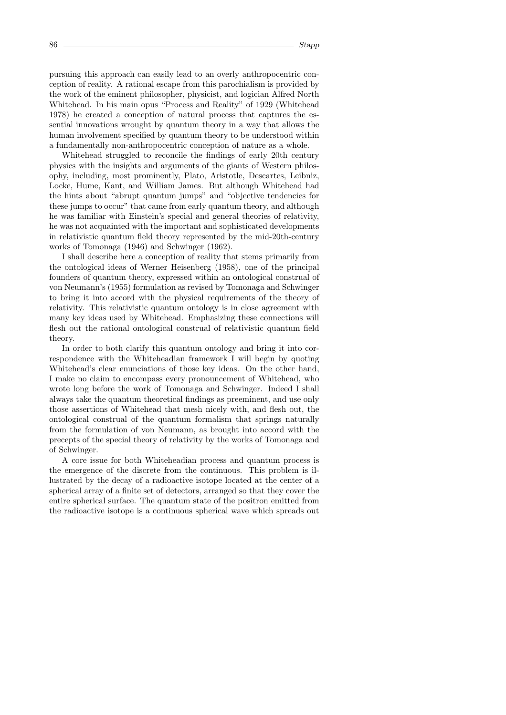pursuing this approach can easily lead to an overly anthropocentric conception of reality. A rational escape from this parochialism is provided by the work of the eminent philosopher, physicist, and logician Alfred North Whitehead. In his main opus "Process and Reality" of 1929 (Whitehead 1978) he created a conception of natural process that captures the essential innovations wrought by quantum theory in a way that allows the human involvement specified by quantum theory to be understood within a fundamentally non-anthropocentric conception of nature as a whole.

Whitehead struggled to reconcile the findings of early 20th century physics with the insights and arguments of the giants of Western philosophy, including, most prominently, Plato, Aristotle, Descartes, Leibniz, Locke, Hume, Kant, and William James. But although Whitehead had the hints about "abrupt quantum jumps" and "objective tendencies for these jumps to occur" that came from early quantum theory, and although he was familiar with Einstein's special and general theories of relativity, he was not acquainted with the important and sophisticated developments in relativistic quantum field theory represented by the mid-20th-century works of Tomonaga (1946) and Schwinger (1962).

I shall describe here a conception of reality that stems primarily from the ontological ideas of Werner Heisenberg (1958), one of the principal founders of quantum theory, expressed within an ontological construal of von Neumann's (1955) formulation as revised by Tomonaga and Schwinger to bring it into accord with the physical requirements of the theory of relativity. This relativistic quantum ontology is in close agreement with many key ideas used by Whitehead. Emphasizing these connections will flesh out the rational ontological construal of relativistic quantum field theory.

In order to both clarify this quantum ontology and bring it into correspondence with the Whiteheadian framework I will begin by quoting Whitehead's clear enunciations of those key ideas. On the other hand, I make no claim to encompass every pronouncement of Whitehead, who wrote long before the work of Tomonaga and Schwinger. Indeed I shall always take the quantum theoretical findings as preeminent, and use only those assertions of Whitehead that mesh nicely with, and flesh out, the ontological construal of the quantum formalism that springs naturally from the formulation of von Neumann, as brought into accord with the precepts of the special theory of relativity by the works of Tomonaga and of Schwinger.

A core issue for both Whiteheadian process and quantum process is the emergence of the discrete from the continuous. This problem is illustrated by the decay of a radioactive isotope located at the center of a spherical array of a finite set of detectors, arranged so that they cover the entire spherical surface. The quantum state of the positron emitted from the radioactive isotope is a continuous spherical wave which spreads out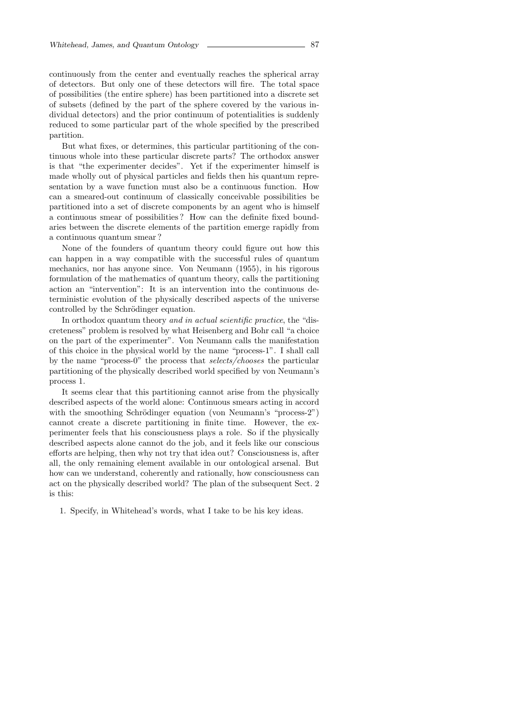continuously from the center and eventually reaches the spherical array of detectors. But only one of these detectors will fire. The total space of possibilities (the entire sphere) has been partitioned into a discrete set of subsets (defined by the part of the sphere covered by the various individual detectors) and the prior continuum of potentialities is suddenly reduced to some particular part of the whole specified by the prescribed partition.

But what fixes, or determines, this particular partitioning of the continuous whole into these particular discrete parts? The orthodox answer is that "the experimenter decides". Yet if the experimenter himself is made wholly out of physical particles and fields then his quantum representation by a wave function must also be a continuous function. How can a smeared-out continuum of classically conceivable possibilities be partitioned into a set of discrete components by an agent who is himself a continuous smear of possibilities ? How can the definite fixed boundaries between the discrete elements of the partition emerge rapidly from a continuous quantum smear ?

None of the founders of quantum theory could figure out how this can happen in a way compatible with the successful rules of quantum mechanics, nor has anyone since. Von Neumann (1955), in his rigorous formulation of the mathematics of quantum theory, calls the partitioning action an "intervention": It is an intervention into the continuous deterministic evolution of the physically described aspects of the universe controlled by the Schrödinger equation.

In orthodox quantum theory *and in actual scientific practice*, the "discreteness" problem is resolved by what Heisenberg and Bohr call "a choice on the part of the experimenter". Von Neumann calls the manifestation of this choice in the physical world by the name "process-1". I shall call by the name "process-0" the process that *selects/chooses* the particular partitioning of the physically described world specified by von Neumann's process 1.

It seems clear that this partitioning cannot arise from the physically described aspects of the world alone: Continuous smears acting in accord with the smoothing Schrödinger equation (von Neumann's "process-2") cannot create a discrete partitioning in finite time. However, the experimenter feels that his consciousness plays a role. So if the physically described aspects alone cannot do the job, and it feels like our conscious efforts are helping, then why not try that idea out? Consciousness is, after all, the only remaining element available in our ontological arsenal. But how can we understand, coherently and rationally, how consciousness can act on the physically described world? The plan of the subsequent Sect. 2 is this:

1. Specify, in Whitehead's words, what I take to be his key ideas.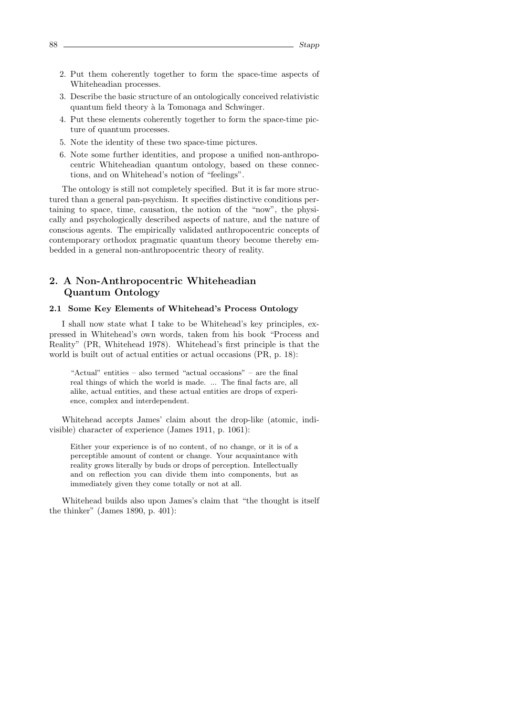- 2. Put them coherently together to form the space-time aspects of Whiteheadian processes.
- 3. Describe the basic structure of an ontologically conceived relativistic quantum field theory à la Tomonaga and Schwinger.
- 4. Put these elements coherently together to form the space-time picture of quantum processes.
- 5. Note the identity of these two space-time pictures.
- 6. Note some further identities, and propose a unified non-anthropocentric Whiteheadian quantum ontology, based on these connections, and on Whitehead's notion of "feelings".

The ontology is still not completely specified. But it is far more structured than a general pan-psychism. It specifies distinctive conditions pertaining to space, time, causation, the notion of the "now", the physically and psychologically described aspects of nature, and the nature of conscious agents. The empirically validated anthropocentric concepts of contemporary orthodox pragmatic quantum theory become thereby embedded in a general non-anthropocentric theory of reality.

# **2. A Non-Anthropocentric Whiteheadian Quantum Ontology**

#### **2.1 Some Key Elements of Whitehead's Process Ontology**

I shall now state what I take to be Whitehead's key principles, expressed in Whitehead's own words, taken from his book "Process and Reality" (PR, Whitehead 1978). Whitehead's first principle is that the world is built out of actual entities or actual occasions (PR, p. 18):

"Actual" entities – also termed "actual occasions" – are the final real things of which the world is made. ... The final facts are, all alike, actual entities, and these actual entities are drops of experience, complex and interdependent.

Whitehead accepts James' claim about the drop-like (atomic, indivisible) character of experience (James 1911, p. 1061):

Either your experience is of no content, of no change, or it is of a perceptible amount of content or change. Your acquaintance with reality grows literally by buds or drops of perception. Intellectually and on reflection you can divide them into components, but as immediately given they come totally or not at all.

Whitehead builds also upon James's claim that "the thought is itself the thinker" (James 1890, p. 401):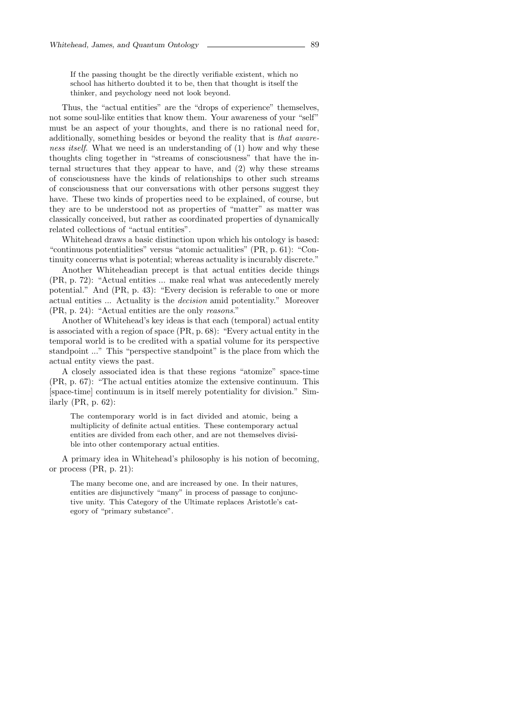If the passing thought be the directly verifiable existent, which no school has hitherto doubted it to be, then that thought is itself the thinker, and psychology need not look beyond.

Thus, the "actual entities" are the "drops of experience" themselves, not some soul-like entities that know them. Your awareness of your "self" must be an aspect of your thoughts, and there is no rational need for, additionally, something besides or beyond the reality that is *that awareness itself*. What we need is an understanding of (1) how and why these thoughts cling together in "streams of consciousness" that have the internal structures that they appear to have, and (2) why these streams of consciousness have the kinds of relationships to other such streams of consciousness that our conversations with other persons suggest they have. These two kinds of properties need to be explained, of course, but they are to be understood not as properties of "matter" as matter was classically conceived, but rather as coordinated properties of dynamically related collections of "actual entities".

Whitehead draws a basic distinction upon which his ontology is based: "continuous potentialities" versus "atomic actualities" (PR, p. 61): "Continuity concerns what is potential; whereas actuality is incurably discrete."

Another Whiteheadian precept is that actual entities decide things (PR, p. 72): "Actual entities ... make real what was antecedently merely potential." And (PR, p. 43): "Every decision is referable to one or more actual entities ... Actuality is the *decision* amid potentiality." Moreover (PR, p. 24): "Actual entities are the only *reasons*."

Another of Whitehead's key ideas is that each (temporal) actual entity is associated with a region of space (PR, p. 68): "Every actual entity in the temporal world is to be credited with a spatial volume for its perspective standpoint ..." This "perspective standpoint" is the place from which the actual entity views the past.

A closely associated idea is that these regions "atomize" space-time (PR, p. 67): "The actual entities atomize the extensive continuum. This [space-time] continuum is in itself merely potentiality for division." Similarly (PR, p. 62):

The contemporary world is in fact divided and atomic, being a multiplicity of definite actual entities. These contemporary actual entities are divided from each other, and are not themselves divisible into other contemporary actual entities.

A primary idea in Whitehead's philosophy is his notion of becoming, or process (PR, p. 21):

The many become one, and are increased by one. In their natures, entities are disjunctively "many" in process of passage to conjunctive unity. This Category of the Ultimate replaces Aristotle's category of "primary substance".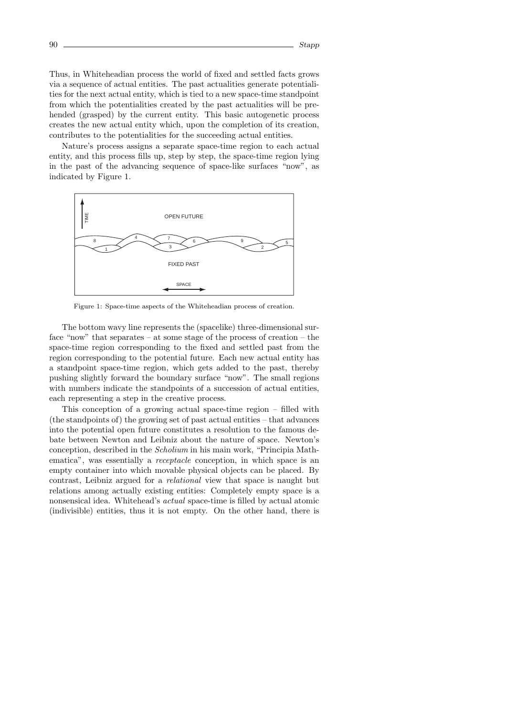Thus, in Whiteheadian process the world of fixed and settled facts grows via a sequence of actual entities. The past actualities generate potentialities for the next actual entity, which is tied to a new space-time standpoint from which the potentialities created by the past actualities will be prehended (grasped) by the current entity. This basic autogenetic process creates the new actual entity which, upon the completion of its creation, contributes to the potentialities for the succeeding actual entities.

Nature's process assigns a separate space-time region to each actual entity, and this process fills up, step by step, the space-time region lying in the past of the advancing sequence of space-like surfaces "now", as indicated by Figure 1.



Figure 1: Space-time aspects of the Whiteheadian process of creation.

The bottom wavy line represents the (spacelike) three-dimensional surface "now" that separates – at some stage of the process of creation – the space-time region corresponding to the fixed and settled past from the region corresponding to the potential future. Each new actual entity has a standpoint space-time region, which gets added to the past, thereby pushing slightly forward the boundary surface "now". The small regions with numbers indicate the standpoints of a succession of actual entities, each representing a step in the creative process.

This conception of a growing actual space-time region – filled with (the standpoints of) the growing set of past actual entities – that advances into the potential open future constitutes a resolution to the famous debate between Newton and Leibniz about the nature of space. Newton's conception, described in the *Scholium* in his main work, "Principia Mathematica", was essentially a *receptacle* conception, in which space is an empty container into which movable physical objects can be placed. By contrast, Leibniz argued for a *relational* view that space is naught but relations among actually existing entities: Completely empty space is a nonsensical idea. Whitehead's *actual* space-time is filled by actual atomic (indivisible) entities, thus it is not empty. On the other hand, there is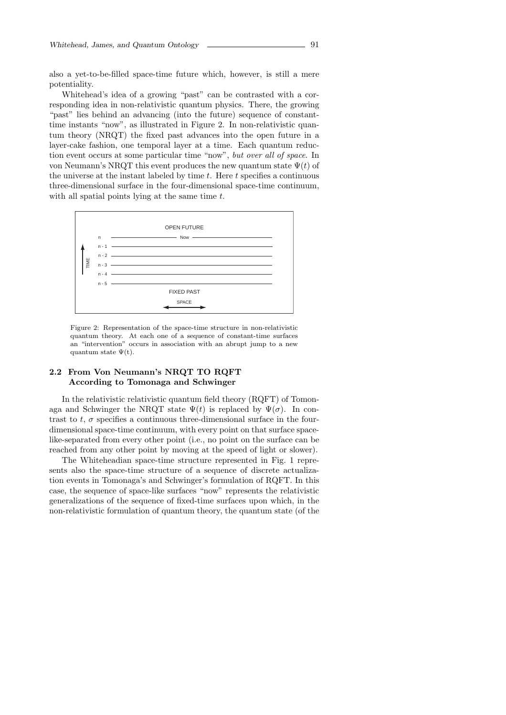also a yet-to-be-filled space-time future which, however, is still a mere potentiality.

Whitehead's idea of a growing "past" can be contrasted with a corresponding idea in non-relativistic quantum physics. There, the growing "past" lies behind an advancing (into the future) sequence of constanttime instants "now", as illustrated in Figure 2. In non-relativistic quantum theory (NRQT) the fixed past advances into the open future in a layer-cake fashion, one temporal layer at a time. Each quantum reduction event occurs at some particular time "now", *but over all of space*. In von Neumann's NRQT this event produces the new quantum state  $\Psi(t)$  of the universe at the instant labeled by time  $t$ . Here  $t$  specifies a continuous three-dimensional surface in the four-dimensional space-time continuum, with all spatial points lying at the same time t.



Figure 2: Representation of the space-time structure in non-relativistic quantum theory. At each one of a sequence of constant-time surfaces an "intervention" occurs in association with an abrupt jump to a new quantum state  $\Psi(t)$ .

### **2.2 From Von Neumann's NRQT TO RQFT According to Tomonaga and Schwinger**

In the relativistic relativistic quantum field theory (RQFT) of Tomonaga and Schwinger the NRQT state  $\Psi(t)$  is replaced by  $\Psi(\sigma)$ . In contrast to t,  $\sigma$  specifies a continuous three-dimensional surface in the fourdimensional space-time continuum, with every point on that surface spacelike-separated from every other point (i.e., no point on the surface can be reached from any other point by moving at the speed of light or slower).

The Whiteheadian space-time structure represented in Fig. 1 represents also the space-time structure of a sequence of discrete actualization events in Tomonaga's and Schwinger's formulation of RQFT. In this case, the sequence of space-like surfaces "now" represents the relativistic generalizations of the sequence of fixed-time surfaces upon which, in the non-relativistic formulation of quantum theory, the quantum state (of the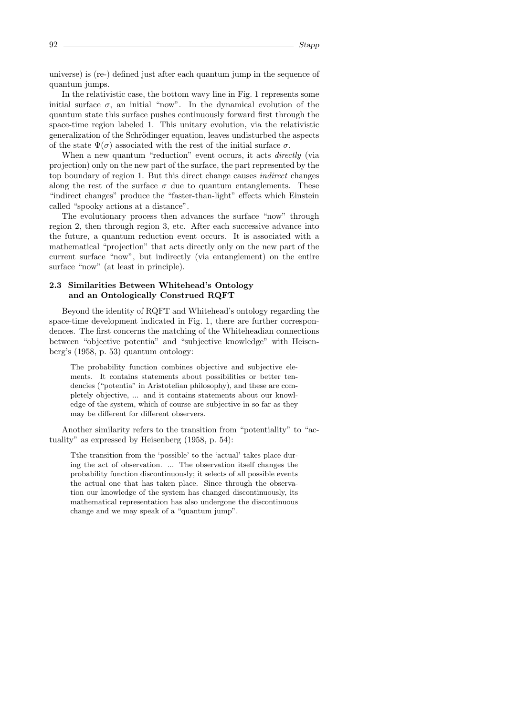universe) is (re-) defined just after each quantum jump in the sequence of quantum jumps.

In the relativistic case, the bottom wavy line in Fig. 1 represents some initial surface  $\sigma$ , an initial "now". In the dynamical evolution of the quantum state this surface pushes continuously forward first through the space-time region labeled 1. This unitary evolution, via the relativistic generalization of the Schrödinger equation, leaves undisturbed the aspects of the state  $\Psi(\sigma)$  associated with the rest of the initial surface  $\sigma$ .

When a new quantum "reduction" event occurs, it acts *directly* (via projection) only on the new part of the surface, the part represented by the top boundary of region 1. But this direct change causes *indirect* changes along the rest of the surface  $\sigma$  due to quantum entanglements. These "indirect changes" produce the "faster-than-light" effects which Einstein called "spooky actions at a distance".

The evolutionary process then advances the surface "now" through region 2, then through region 3, etc. After each successive advance into the future, a quantum reduction event occurs. It is associated with a mathematical "projection" that acts directly only on the new part of the current surface "now", but indirectly (via entanglement) on the entire surface "now" (at least in principle).

## **2.3 Similarities Between Whitehead's Ontology and an Ontologically Construed RQFT**

Beyond the identity of RQFT and Whitehead's ontology regarding the space-time development indicated in Fig. 1, there are further correspondences. The first concerns the matching of the Whiteheadian connections between "objective potentia" and "subjective knowledge" with Heisenberg's (1958, p. 53) quantum ontology:

The probability function combines objective and subjective elements. It contains statements about possibilities or better tendencies ("potentia" in Aristotelian philosophy), and these are completely objective, ... and it contains statements about our knowledge of the system, which of course are subjective in so far as they may be different for different observers.

Another similarity refers to the transition from "potentiality" to "actuality" as expressed by Heisenberg (1958, p. 54):

Tthe transition from the 'possible' to the 'actual' takes place during the act of observation. ... The observation itself changes the probability function discontinuously; it selects of all possible events the actual one that has taken place. Since through the observation our knowledge of the system has changed discontinuously, its mathematical representation has also undergone the discontinuous change and we may speak of a "quantum jump".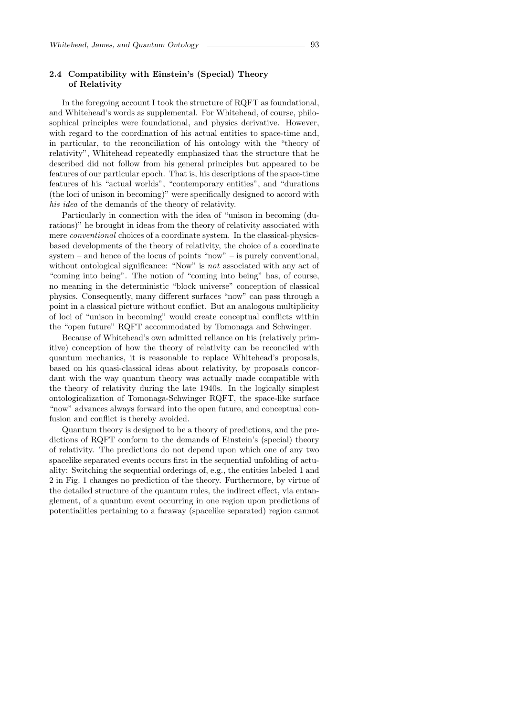### **2.4 Compatibility with Einstein's (Special) Theory of Relativity**

In the foregoing account I took the structure of RQFT as foundational, and Whitehead's words as supplemental. For Whitehead, of course, philosophical principles were foundational, and physics derivative. However, with regard to the coordination of his actual entities to space-time and, in particular, to the reconciliation of his ontology with the "theory of relativity", Whitehead repeatedly emphasized that the structure that he described did not follow from his general principles but appeared to be features of our particular epoch. That is, his descriptions of the space-time features of his "actual worlds", "contemporary entities", and "durations (the loci of unison in becoming)" were specifically designed to accord with *his idea* of the demands of the theory of relativity.

Particularly in connection with the idea of "unison in becoming (durations)" he brought in ideas from the theory of relativity associated with mere *conventional* choices of a coordinate system. In the classical-physicsbased developments of the theory of relativity, the choice of a coordinate system – and hence of the locus of points "now" – is purely conventional, without ontological significance: "Now" is *not* associated with any act of "coming into being". The notion of "coming into being" has, of course, no meaning in the deterministic "block universe" conception of classical physics. Consequently, many different surfaces "now" can pass through a point in a classical picture without conflict. But an analogous multiplicity of loci of "unison in becoming" would create conceptual conflicts within the "open future" RQFT accommodated by Tomonaga and Schwinger.

Because of Whitehead's own admitted reliance on his (relatively primitive) conception of how the theory of relativity can be reconciled with quantum mechanics, it is reasonable to replace Whitehead's proposals, based on his quasi-classical ideas about relativity, by proposals concordant with the way quantum theory was actually made compatible with the theory of relativity during the late 1940s. In the logically simplest ontologicalization of Tomonaga-Schwinger RQFT, the space-like surface "now" advances always forward into the open future, and conceptual confusion and conflict is thereby avoided.

Quantum theory is designed to be a theory of predictions, and the predictions of RQFT conform to the demands of Einstein's (special) theory of relativity. The predictions do not depend upon which one of any two spacelike separated events occurs first in the sequential unfolding of actuality: Switching the sequential orderings of, e.g., the entities labeled 1 and 2 in Fig. 1 changes no prediction of the theory. Furthermore, by virtue of the detailed structure of the quantum rules, the indirect effect, via entanglement, of a quantum event occurring in one region upon predictions of potentialities pertaining to a faraway (spacelike separated) region cannot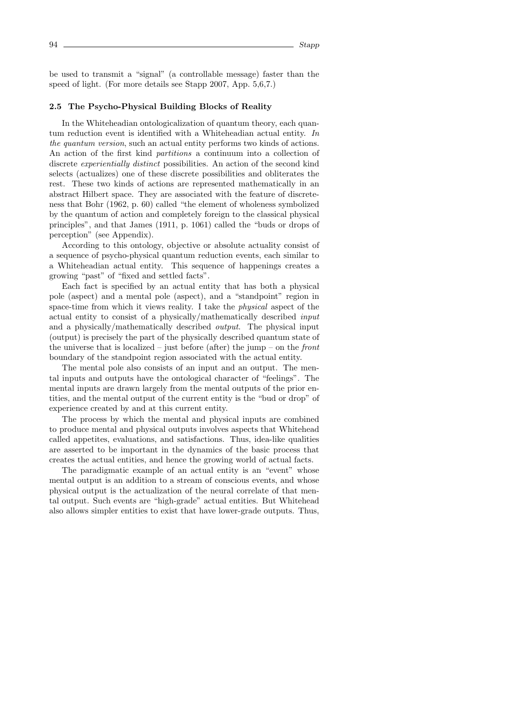be used to transmit a "signal" (a controllable message) faster than the speed of light. (For more details see Stapp 2007, App. 5,6,7.)

#### **2.5 The Psycho-Physical Building Blocks of Reality**

In the Whiteheadian ontologicalization of quantum theory, each quantum reduction event is identified with a Whiteheadian actual entity. *In the quantum version*, such an actual entity performs two kinds of actions. An action of the first kind *partitions* a continuum into a collection of discrete *experientially distinct* possibilities. An action of the second kind selects (actualizes) one of these discrete possibilities and obliterates the rest. These two kinds of actions are represented mathematically in an abstract Hilbert space. They are associated with the feature of discreteness that Bohr (1962, p. 60) called "the element of wholeness symbolized by the quantum of action and completely foreign to the classical physical principles", and that James (1911, p. 1061) called the "buds or drops of perception" (see Appendix).

According to this ontology, objective or absolute actuality consist of a sequence of psycho-physical quantum reduction events, each similar to a Whiteheadian actual entity. This sequence of happenings creates a growing "past" of "fixed and settled facts".

Each fact is specified by an actual entity that has both a physical pole (aspect) and a mental pole (aspect), and a "standpoint" region in space-time from which it views reality. I take the *physical* aspect of the actual entity to consist of a physically/mathematically described *input* and a physically/mathematically described *output*. The physical input (output) is precisely the part of the physically described quantum state of the universe that is localized – just before (after) the jump – on the *front* boundary of the standpoint region associated with the actual entity.

The mental pole also consists of an input and an output. The mental inputs and outputs have the ontological character of "feelings". The mental inputs are drawn largely from the mental outputs of the prior entities, and the mental output of the current entity is the "bud or drop" of experience created by and at this current entity.

The process by which the mental and physical inputs are combined to produce mental and physical outputs involves aspects that Whitehead called appetites, evaluations, and satisfactions. Thus, idea-like qualities are asserted to be important in the dynamics of the basic process that creates the actual entities, and hence the growing world of actual facts.

The paradigmatic example of an actual entity is an "event" whose mental output is an addition to a stream of conscious events, and whose physical output is the actualization of the neural correlate of that mental output. Such events are "high-grade" actual entities. But Whitehead also allows simpler entities to exist that have lower-grade outputs. Thus,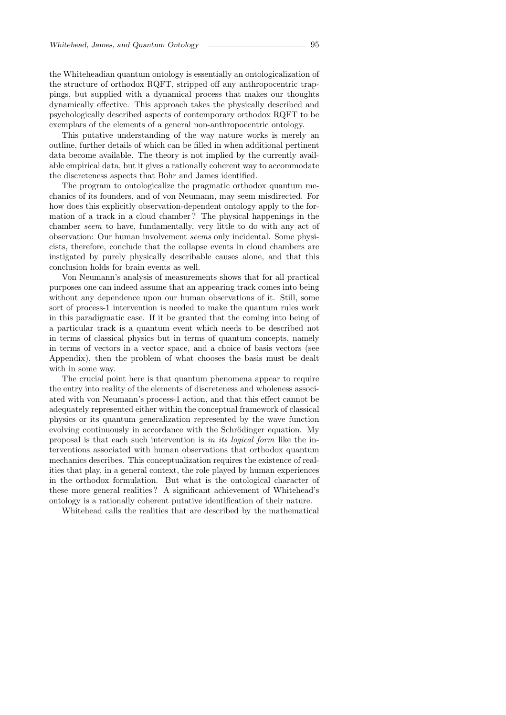the Whiteheadian quantum ontology is essentially an ontologicalization of the structure of orthodox RQFT, stripped off any anthropocentric trappings, but supplied with a dynamical process that makes our thoughts dynamically effective. This approach takes the physically described and psychologically described aspects of contemporary orthodox RQFT to be exemplars of the elements of a general non-anthropocentric ontology.

This putative understanding of the way nature works is merely an outline, further details of which can be filled in when additional pertinent data become available. The theory is not implied by the currently available empirical data, but it gives a rationally coherent way to accommodate the discreteness aspects that Bohr and James identified.

The program to ontologicalize the pragmatic orthodox quantum mechanics of its founders, and of von Neumann, may seem misdirected. For how does this explicitly observation-dependent ontology apply to the formation of a track in a cloud chamber ? The physical happenings in the chamber *seem* to have, fundamentally, very little to do with any act of observation: Our human involvement *seems* only incidental. Some physicists, therefore, conclude that the collapse events in cloud chambers are instigated by purely physically describable causes alone, and that this conclusion holds for brain events as well.

Von Neumann's analysis of measurements shows that for all practical purposes one can indeed assume that an appearing track comes into being without any dependence upon our human observations of it. Still, some sort of process-1 intervention is needed to make the quantum rules work in this paradigmatic case. If it be granted that the coming into being of a particular track is a quantum event which needs to be described not in terms of classical physics but in terms of quantum concepts, namely in terms of vectors in a vector space, and a choice of basis vectors (see Appendix), then the problem of what chooses the basis must be dealt with in some way.

The crucial point here is that quantum phenomena appear to require the entry into reality of the elements of discreteness and wholeness associated with von Neumann's process-1 action, and that this effect cannot be adequately represented either within the conceptual framework of classical physics or its quantum generalization represented by the wave function evolving continuously in accordance with the Schrödinger equation. My proposal is that each such intervention is *in its logical form* like the interventions associated with human observations that orthodox quantum mechanics describes. This conceptualization requires the existence of realities that play, in a general context, the role played by human experiences in the orthodox formulation. But what is the ontological character of these more general realities ? A significant achievement of Whitehead's ontology is a rationally coherent putative identification of their nature.

Whitehead calls the realities that are described by the mathematical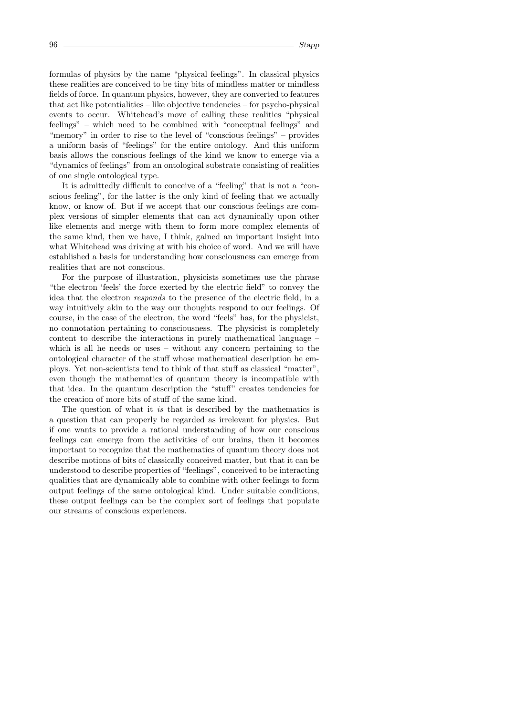formulas of physics by the name "physical feelings". In classical physics these realities are conceived to be tiny bits of mindless matter or mindless fields of force. In quantum physics, however, they are converted to features that act like potentialities – like objective tendencies – for psycho-physical events to occur. Whitehead's move of calling these realities "physical feelings" – which need to be combined with "conceptual feelings" and "memory" in order to rise to the level of "conscious feelings" – provides a uniform basis of "feelings" for the entire ontology. And this uniform basis allows the conscious feelings of the kind we know to emerge via a "dynamics of feelings" from an ontological substrate consisting of realities of one single ontological type.

It is admittedly difficult to conceive of a "feeling" that is not a "conscious feeling", for the latter is the only kind of feeling that we actually know, or know of. But if we accept that our conscious feelings are complex versions of simpler elements that can act dynamically upon other like elements and merge with them to form more complex elements of the same kind, then we have, I think, gained an important insight into what Whitehead was driving at with his choice of word. And we will have established a basis for understanding how consciousness can emerge from realities that are not conscious.

For the purpose of illustration, physicists sometimes use the phrase "the electron 'feels' the force exerted by the electric field" to convey the idea that the electron *responds* to the presence of the electric field, in a way intuitively akin to the way our thoughts respond to our feelings. Of course, in the case of the electron, the word "feels" has, for the physicist, no connotation pertaining to consciousness. The physicist is completely content to describe the interactions in purely mathematical language – which is all he needs or uses – without any concern pertaining to the ontological character of the stuff whose mathematical description he employs. Yet non-scientists tend to think of that stuff as classical "matter", even though the mathematics of quantum theory is incompatible with that idea. In the quantum description the "stuff" creates tendencies for the creation of more bits of stuff of the same kind.

The question of what it *is* that is described by the mathematics is a question that can properly be regarded as irrelevant for physics. But if one wants to provide a rational understanding of how our conscious feelings can emerge from the activities of our brains, then it becomes important to recognize that the mathematics of quantum theory does not describe motions of bits of classically conceived matter, but that it can be understood to describe properties of "feelings", conceived to be interacting qualities that are dynamically able to combine with other feelings to form output feelings of the same ontological kind. Under suitable conditions, these output feelings can be the complex sort of feelings that populate our streams of conscious experiences.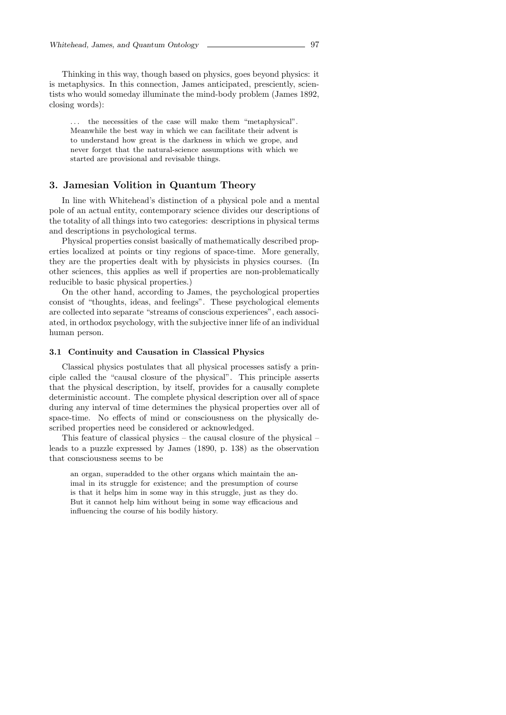Thinking in this way, though based on physics, goes beyond physics: it is metaphysics. In this connection, James anticipated, presciently, scientists who would someday illuminate the mind-body problem (James 1892, closing words):

... the necessities of the case will make them "metaphysical". Meanwhile the best way in which we can facilitate their advent is to understand how great is the darkness in which we grope, and never forget that the natural-science assumptions with which we started are provisional and revisable things.

#### **3. Jamesian Volition in Quantum Theory**

In line with Whitehead's distinction of a physical pole and a mental pole of an actual entity, contemporary science divides our descriptions of the totality of all things into two categories: descriptions in physical terms and descriptions in psychological terms.

Physical properties consist basically of mathematically described properties localized at points or tiny regions of space-time. More generally, they are the properties dealt with by physicists in physics courses. (In other sciences, this applies as well if properties are non-problematically reducible to basic physical properties.)

On the other hand, according to James, the psychological properties consist of "thoughts, ideas, and feelings". These psychological elements are collected into separate "streams of conscious experiences", each associated, in orthodox psychology, with the subjective inner life of an individual human person.

#### **3.1 Continuity and Causation in Classical Physics**

Classical physics postulates that all physical processes satisfy a principle called the "causal closure of the physical". This principle asserts that the physical description, by itself, provides for a causally complete deterministic account. The complete physical description over all of space during any interval of time determines the physical properties over all of space-time. No effects of mind or consciousness on the physically described properties need be considered or acknowledged.

This feature of classical physics – the causal closure of the physical – leads to a puzzle expressed by James (1890, p. 138) as the observation that consciousness seems to be

an organ, superadded to the other organs which maintain the animal in its struggle for existence; and the presumption of course is that it helps him in some way in this struggle, just as they do. But it cannot help him without being in some way efficacious and influencing the course of his bodily history.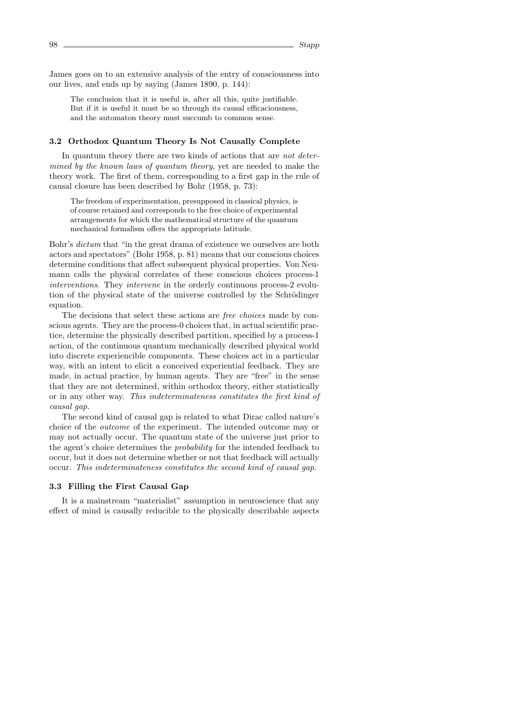James goes on to an extensive analysis of the entry of consciousness into our lives, and ends up by saying (James 1890, p. 144):

The conclusion that it is useful is, after all this, quite justifiable. But if it is useful it must be so through its causal efficaciousness, and the automaton theory must succumb to common sense.

#### **3.2 Orthodox Quantum Theory Is Not Causally Complete**

In quantum theory there are two kinds of actions that are *not determined by the known laws of quantum theory*, yet are needed to make the theory work. The first of them, corresponding to a first gap in the rule of causal closure has been described by Bohr (1958, p. 73):

The freedom of experimentation, presupposed in classical physics, is of course retained and corresponds to the free choice of experimental arrangements for which the mathematical structure of the quantum mechanical formalism offers the appropriate latitude.

Bohr's *dictum* that "in the great drama of existence we ourselves are both actors and spectators" (Bohr 1958, p. 81) means that our conscious choices determine conditions that affect subsequent physical properties. Von Neumann calls the physical correlates of these conscious choices process-1 *interventions*. They *intervene* in the orderly continuous process-2 evolution of the physical state of the universe controlled by the Schrödinger equation.

The decisions that select these actions are *free choices* made by conscious agents. They are the process-0 choices that, in actual scientific practice, determine the physically described partition, specified by a process-1 action, of the continuous quantum mechanically described physical world into discrete experiencible components. These choices act in a particular way, with an intent to elicit a conceived experiential feedback. They are made, in actual practice, by human agents. They are "free" in the sense that they are not determined, within orthodox theory, either statistically or in any other way. *This indeterminateness constitutes the first kind of causal gap.*

The second kind of causal gap is related to what Dirac called nature's choice of the *outcome* of the experiment. The intended outcome may or may not actually occur. The quantum state of the universe just prior to the agent's choice determines the *probability* for the intended feedback to occur, but it does not determine whether or not that feedback will actually occur. *This indeterminateness constitutes the second kind of causal gap.*

#### **3.3 Filling the First Causal Gap**

It is a mainstream "materialist" assumption in neuroscience that any effect of mind is causally reducible to the physically describable aspects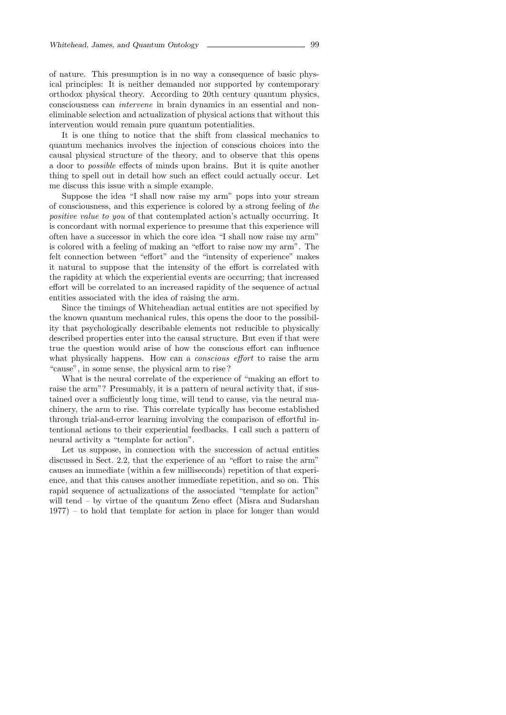of nature. This presumption is in no way a consequence of basic physical principles: It is neither demanded nor supported by contemporary orthodox physical theory. According to 20th century quantum physics, consciousness can *intervene* in brain dynamics in an essential and noneliminable selection and actualization of physical actions that without this intervention would remain pure quantum potentialities.

It is one thing to notice that the shift from classical mechanics to quantum mechanics involves the injection of conscious choices into the causal physical structure of the theory, and to observe that this opens a door to *possible* effects of minds upon brains. But it is quite another thing to spell out in detail how such an effect could actually occur. Let me discuss this issue with a simple example.

Suppose the idea "I shall now raise my arm" pops into your stream of consciousness, and this experience is colored by a strong feeling of *the positive value to you* of that contemplated action's actually occurring. It is concordant with normal experience to presume that this experience will often have a successor in which the core idea "I shall now raise my arm" is colored with a feeling of making an "effort to raise now my arm". The felt connection between "effort" and the "intensity of experience" makes it natural to suppose that the intensity of the effort is correlated with the rapidity at which the experiential events are occurring; that increased effort will be correlated to an increased rapidity of the sequence of actual entities associated with the idea of raising the arm.

Since the timings of Whiteheadian actual entities are not specified by the known quantum mechanical rules, this opens the door to the possibility that psychologically describable elements not reducible to physically described properties enter into the causal structure. But even if that were true the question would arise of how the conscious effort can influence what physically happens. How can a *conscious effort* to raise the arm "cause", in some sense, the physical arm to rise ?

What is the neural correlate of the experience of "making an effort to raise the arm"? Presumably, it is a pattern of neural activity that, if sustained over a sufficiently long time, will tend to cause, via the neural machinery, the arm to rise. This correlate typically has become established through trial-and-error learning involving the comparison of effortful intentional actions to their experiential feedbacks. I call such a pattern of neural activity a "template for action".

Let us suppose, in connection with the succession of actual entities discussed in Sect. 2.2, that the experience of an "effort to raise the arm" causes an immediate (within a few milliseconds) repetition of that experience, and that this causes another immediate repetition, and so on. This rapid sequence of actualizations of the associated "template for action" will tend – by virtue of the quantum Zeno effect (Misra and Sudarshan 1977) – to hold that template for action in place for longer than would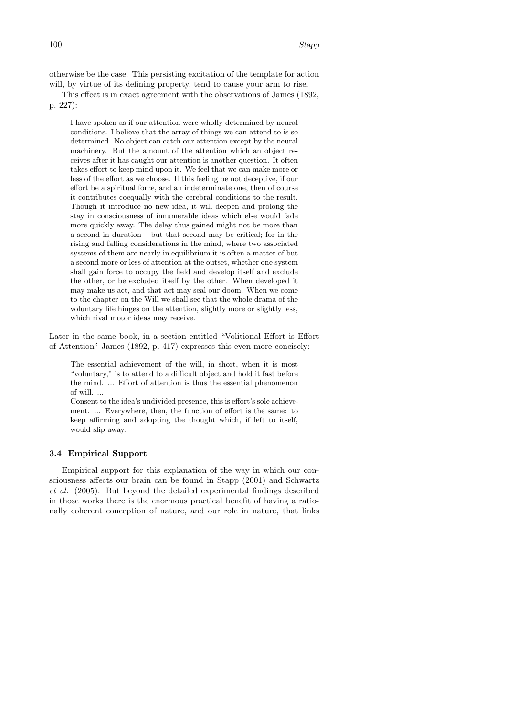otherwise be the case. This persisting excitation of the template for action will, by virtue of its defining property, tend to cause your arm to rise.

This effect is in exact agreement with the observations of James (1892, p. 227):

I have spoken as if our attention were wholly determined by neural conditions. I believe that the array of things we can attend to is so determined. No object can catch our attention except by the neural machinery. But the amount of the attention which an object receives after it has caught our attention is another question. It often takes effort to keep mind upon it. We feel that we can make more or less of the effort as we choose. If this feeling be not deceptive, if our effort be a spiritual force, and an indeterminate one, then of course it contributes coequally with the cerebral conditions to the result. Though it introduce no new idea, it will deepen and prolong the stay in consciousness of innumerable ideas which else would fade more quickly away. The delay thus gained might not be more than a second in duration – but that second may be critical; for in the rising and falling considerations in the mind, where two associated systems of them are nearly in equilibrium it is often a matter of but a second more or less of attention at the outset, whether one system shall gain force to occupy the field and develop itself and exclude the other, or be excluded itself by the other. When developed it may make us act, and that act may seal our doom. When we come to the chapter on the Will we shall see that the whole drama of the voluntary life hinges on the attention, slightly more or slightly less, which rival motor ideas may receive.

Later in the same book, in a section entitled "Volitional Effort is Effort of Attention" James (1892, p. 417) expresses this even more concisely:

The essential achievement of the will, in short, when it is most "voluntary," is to attend to a difficult object and hold it fast before the mind. ... Effort of attention is thus the essential phenomenon of will. ...

Consent to the idea's undivided presence, this is effort's sole achievement. ... Everywhere, then, the function of effort is the same: to keep affirming and adopting the thought which, if left to itself, would slip away.

#### **3.4 Empirical Support**

Empirical support for this explanation of the way in which our consciousness affects our brain can be found in Stapp (2001) and Schwartz *et al.* (2005). But beyond the detailed experimental findings described in those works there is the enormous practical benefit of having a rationally coherent conception of nature, and our role in nature, that links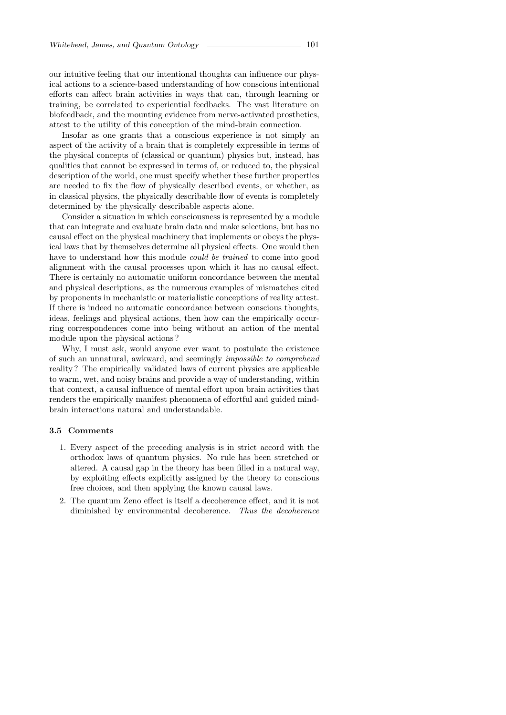our intuitive feeling that our intentional thoughts can influence our physical actions to a science-based understanding of how conscious intentional efforts can affect brain activities in ways that can, through learning or training, be correlated to experiential feedbacks. The vast literature on biofeedback, and the mounting evidence from nerve-activated prosthetics, attest to the utility of this conception of the mind-brain connection.

Insofar as one grants that a conscious experience is not simply an aspect of the activity of a brain that is completely expressible in terms of the physical concepts of (classical or quantum) physics but, instead, has qualities that cannot be expressed in terms of, or reduced to, the physical description of the world, one must specify whether these further properties are needed to fix the flow of physically described events, or whether, as in classical physics, the physically describable flow of events is completely determined by the physically describable aspects alone.

Consider a situation in which consciousness is represented by a module that can integrate and evaluate brain data and make selections, but has no causal effect on the physical machinery that implements or obeys the physical laws that by themselves determine all physical effects. One would then have to understand how this module *could be trained* to come into good alignment with the causal processes upon which it has no causal effect. There is certainly no automatic uniform concordance between the mental and physical descriptions, as the numerous examples of mismatches cited by proponents in mechanistic or materialistic conceptions of reality attest. If there is indeed no automatic concordance between conscious thoughts, ideas, feelings and physical actions, then how can the empirically occurring correspondences come into being without an action of the mental module upon the physical actions ?

Why, I must ask, would anyone ever want to postulate the existence of such an unnatural, awkward, and seemingly *impossible to comprehend* reality ? The empirically validated laws of current physics are applicable to warm, wet, and noisy brains and provide a way of understanding, within that context, a causal influence of mental effort upon brain activities that renders the empirically manifest phenomena of effortful and guided mindbrain interactions natural and understandable.

#### **3.5 Comments**

- 1. Every aspect of the preceding analysis is in strict accord with the orthodox laws of quantum physics. No rule has been stretched or altered. A causal gap in the theory has been filled in a natural way, by exploiting effects explicitly assigned by the theory to conscious free choices, and then applying the known causal laws.
- 2. The quantum Zeno effect is itself a decoherence effect, and it is not diminished by environmental decoherence. *Thus the decoherence*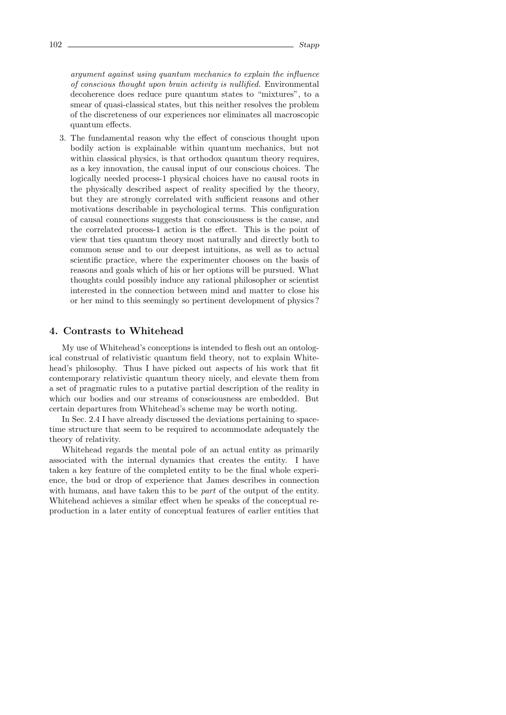*argument against using quantum mechanics to explain the influence of conscious thought upon brain activity is nullified.* Environmental decoherence does reduce pure quantum states to "mixtures", to a smear of quasi-classical states, but this neither resolves the problem of the discreteness of our experiences nor eliminates all macroscopic quantum effects.

3. The fundamental reason why the effect of conscious thought upon bodily action is explainable within quantum mechanics, but not within classical physics, is that orthodox quantum theory requires, as a key innovation, the causal input of our conscious choices. The logically needed process-1 physical choices have no causal roots in the physically described aspect of reality specified by the theory, but they are strongly correlated with sufficient reasons and other motivations describable in psychological terms. This configuration of causal connections suggests that consciousness is the cause, and the correlated process-1 action is the effect. This is the point of view that ties quantum theory most naturally and directly both to common sense and to our deepest intuitions, as well as to actual scientific practice, where the experimenter chooses on the basis of reasons and goals which of his or her options will be pursued. What thoughts could possibly induce any rational philosopher or scientist interested in the connection between mind and matter to close his or her mind to this seemingly so pertinent development of physics ?

### **4. Contrasts to Whitehead**

My use of Whitehead's conceptions is intended to flesh out an ontological construal of relativistic quantum field theory, not to explain Whitehead's philosophy. Thus I have picked out aspects of his work that fit contemporary relativistic quantum theory nicely, and elevate them from a set of pragmatic rules to a putative partial description of the reality in which our bodies and our streams of consciousness are embedded. But certain departures from Whitehead's scheme may be worth noting.

In Sec. 2.4 I have already discussed the deviations pertaining to spacetime structure that seem to be required to accommodate adequately the theory of relativity.

Whitehead regards the mental pole of an actual entity as primarily associated with the internal dynamics that creates the entity. I have taken a key feature of the completed entity to be the final whole experience, the bud or drop of experience that James describes in connection with humans, and have taken this to be *part* of the output of the entity. Whitehead achieves a similar effect when he speaks of the conceptual reproduction in a later entity of conceptual features of earlier entities that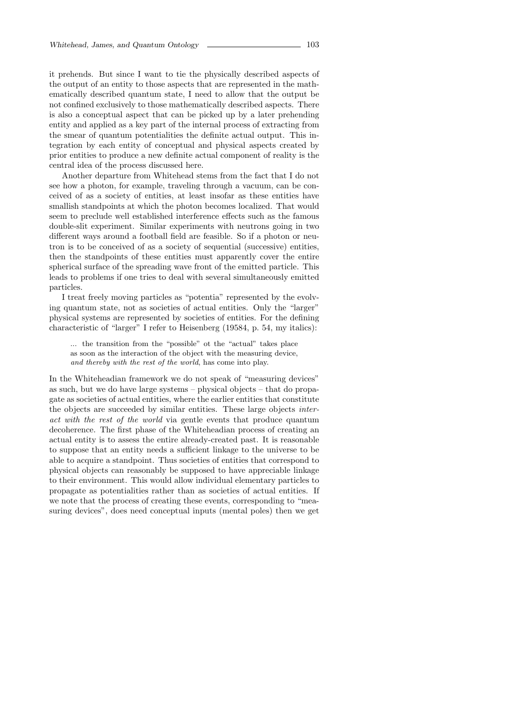it prehends. But since I want to tie the physically described aspects of the output of an entity to those aspects that are represented in the mathematically described quantum state, I need to allow that the output be not confined exclusively to those mathematically described aspects. There is also a conceptual aspect that can be picked up by a later prehending entity and applied as a key part of the internal process of extracting from the smear of quantum potentialities the definite actual output. This integration by each entity of conceptual and physical aspects created by prior entities to produce a new definite actual component of reality is the central idea of the process discussed here.

Another departure from Whitehead stems from the fact that I do not see how a photon, for example, traveling through a vacuum, can be conceived of as a society of entities, at least insofar as these entities have smallish standpoints at which the photon becomes localized. That would seem to preclude well established interference effects such as the famous double-slit experiment. Similar experiments with neutrons going in two different ways around a football field are feasible. So if a photon or neutron is to be conceived of as a society of sequential (successive) entities, then the standpoints of these entities must apparently cover the entire spherical surface of the spreading wave front of the emitted particle. This leads to problems if one tries to deal with several simultaneously emitted particles.

I treat freely moving particles as "potentia" represented by the evolving quantum state, not as societies of actual entities. Only the "larger" physical systems are represented by societies of entities. For the defining characteristic of "larger" I refer to Heisenberg (19584, p. 54, my italics):

... the transition from the "possible" ot the "actual" takes place as soon as the interaction of the object with the measuring device, *and thereby with the rest of the world*, has come into play.

In the Whiteheadian framework we do not speak of "measuring devices" as such, but we do have large systems – physical objects – that do propagate as societies of actual entities, where the earlier entities that constitute the objects are succeeded by similar entities. These large objects *interact with the rest of the world* via gentle events that produce quantum decoherence. The first phase of the Whiteheadian process of creating an actual entity is to assess the entire already-created past. It is reasonable to suppose that an entity needs a sufficient linkage to the universe to be able to acquire a standpoint. Thus societies of entities that correspond to physical objects can reasonably be supposed to have appreciable linkage to their environment. This would allow individual elementary particles to propagate as potentialities rather than as societies of actual entities. If we note that the process of creating these events, corresponding to "measuring devices", does need conceptual inputs (mental poles) then we get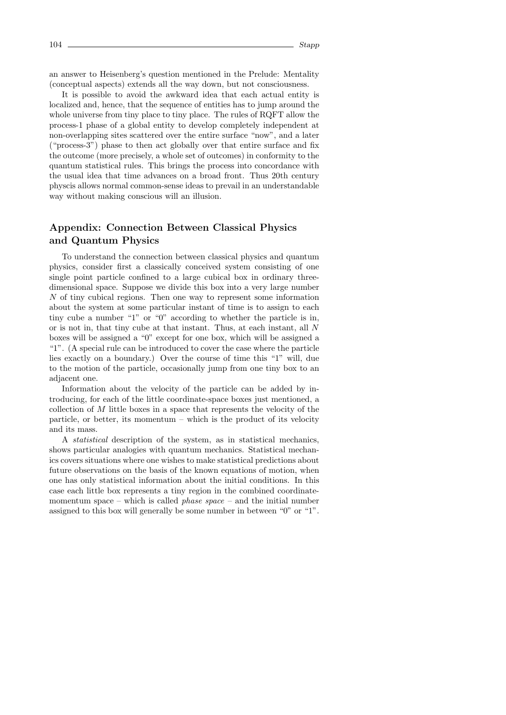an answer to Heisenberg's question mentioned in the Prelude: Mentality (conceptual aspects) extends all the way down, but not consciousness.

It is possible to avoid the awkward idea that each actual entity is localized and, hence, that the sequence of entities has to jump around the whole universe from tiny place to tiny place. The rules of RQFT allow the process-1 phase of a global entity to develop completely independent at non-overlapping sites scattered over the entire surface "now", and a later ("process-3") phase to then act globally over that entire surface and fix the outcome (more precisely, a whole set of outcomes) in conformity to the quantum statistical rules. This brings the process into concordance with the usual idea that time advances on a broad front. Thus 20th century physcis allows normal common-sense ideas to prevail in an understandable way without making conscious will an illusion.

# **Appendix: Connection Between Classical Physics and Quantum Physics**

To understand the connection between classical physics and quantum physics, consider first a classically conceived system consisting of one single point particle confined to a large cubical box in ordinary threedimensional space. Suppose we divide this box into a very large number N of tiny cubical regions. Then one way to represent some information about the system at some particular instant of time is to assign to each tiny cube a number "1" or "0" according to whether the particle is in, or is not in, that tiny cube at that instant. Thus, at each instant, all N boxes will be assigned a "0" except for one box, which will be assigned a "1". (A special rule can be introduced to cover the case where the particle lies exactly on a boundary.) Over the course of time this "1" will, due to the motion of the particle, occasionally jump from one tiny box to an adjacent one.

Information about the velocity of the particle can be added by introducing, for each of the little coordinate-space boxes just mentioned, a collection of M little boxes in a space that represents the velocity of the particle, or better, its momentum – which is the product of its velocity and its mass.

A *statistical* description of the system, as in statistical mechanics, shows particular analogies with quantum mechanics. Statistical mechanics covers situations where one wishes to make statistical predictions about future observations on the basis of the known equations of motion, when one has only statistical information about the initial conditions. In this case each little box represents a tiny region in the combined coordinatemomentum space – which is called *phase space* – and the initial number assigned to this box will generally be some number in between "0" or "1".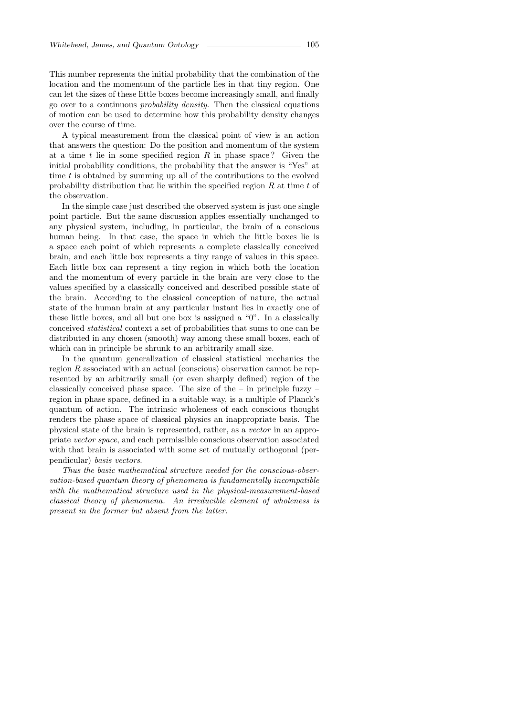This number represents the initial probability that the combination of the location and the momentum of the particle lies in that tiny region. One can let the sizes of these little boxes become increasingly small, and finally go over to a continuous *probability density*. Then the classical equations of motion can be used to determine how this probability density changes over the course of time.

A typical measurement from the classical point of view is an action that answers the question: Do the position and momentum of the system at a time t lie in some specified region  $R$  in phase space? Given the initial probability conditions, the probability that the answer is "Yes" at time  $t$  is obtained by summing up all of the contributions to the evolved probability distribution that lie within the specified region  $R$  at time  $t$  of the observation.

In the simple case just described the observed system is just one single point particle. But the same discussion applies essentially unchanged to any physical system, including, in particular, the brain of a conscious human being. In that case, the space in which the little boxes lie is a space each point of which represents a complete classically conceived brain, and each little box represents a tiny range of values in this space. Each little box can represent a tiny region in which both the location and the momentum of every particle in the brain are very close to the values specified by a classically conceived and described possible state of the brain. According to the classical conception of nature, the actual state of the human brain at any particular instant lies in exactly one of these little boxes, and all but one box is assigned a "0". In a classically conceived *statistical* context a set of probabilities that sums to one can be distributed in any chosen (smooth) way among these small boxes, each of which can in principle be shrunk to an arbitrarily small size.

In the quantum generalization of classical statistical mechanics the region R associated with an actual (conscious) observation cannot be represented by an arbitrarily small (or even sharply defined) region of the classically conceived phase space. The size of the  $-$  in principle fuzzy  $$ region in phase space, defined in a suitable way, is a multiple of Planck's quantum of action. The intrinsic wholeness of each conscious thought renders the phase space of classical physics an inappropriate basis. The physical state of the brain is represented, rather, as a *vector* in an appropriate *vector space*, and each permissible conscious observation associated with that brain is associated with some set of mutually orthogonal (perpendicular) *basis vectors*.

*Thus the basic mathematical structure needed for the conscious-observation-based quantum theory of phenomena is fundamentally incompatible with the mathematical structure used in the physical-measurement-based classical theory of phenomena. An irreducible element of wholeness is present in the former but absent from the latter.*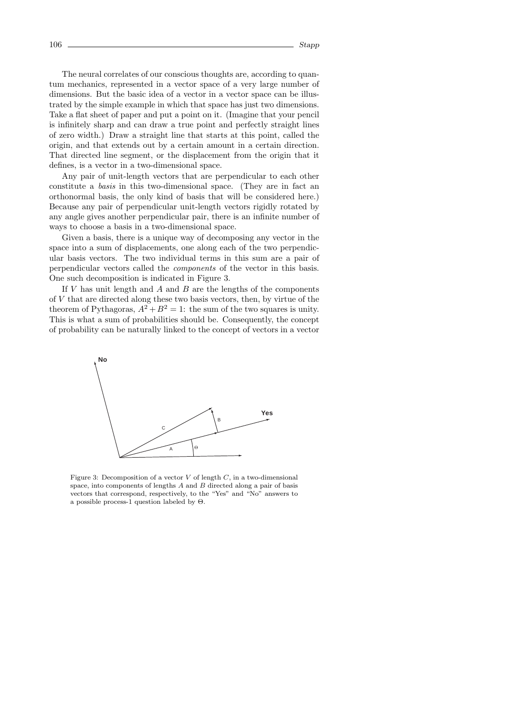The neural correlates of our conscious thoughts are, according to quantum mechanics, represented in a vector space of a very large number of dimensions. But the basic idea of a vector in a vector space can be illustrated by the simple example in which that space has just two dimensions. Take a flat sheet of paper and put a point on it. (Imagine that your pencil is infinitely sharp and can draw a true point and perfectly straight lines of zero width.) Draw a straight line that starts at this point, called the origin, and that extends out by a certain amount in a certain direction. That directed line segment, or the displacement from the origin that it defines, is a vector in a two-dimensional space.

Any pair of unit-length vectors that are perpendicular to each other constitute a *basis* in this two-dimensional space. (They are in fact an orthonormal basis, the only kind of basis that will be considered here.) Because any pair of perpendicular unit-length vectors rigidly rotated by any angle gives another perpendicular pair, there is an infinite number of ways to choose a basis in a two-dimensional space.

Given a basis, there is a unique way of decomposing any vector in the space into a sum of displacements, one along each of the two perpendicular basis vectors. The two individual terms in this sum are a pair of perpendicular vectors called the *components* of the vector in this basis. One such decomposition is indicated in Figure 3.

If  $V$  has unit length and  $A$  and  $B$  are the lengths of the components of  $V$  that are directed along these two basis vectors, then, by virtue of the theorem of Pythagoras,  $A^2 + B^2 = 1$ : the sum of the two squares is unity. This is what a sum of probabilities should be. Consequently, the concept of probability can be naturally linked to the concept of vectors in a vector

**No Yes** AC BΘ

Figure 3: Decomposition of a vector  $V$  of length  $C$ , in a two-dimensional space, into components of lengths *A* and *B* directed along a pair of basis vectors that correspond, respectively, to the "Yes" and "No" answers to a possible process-1 question labeled by Θ.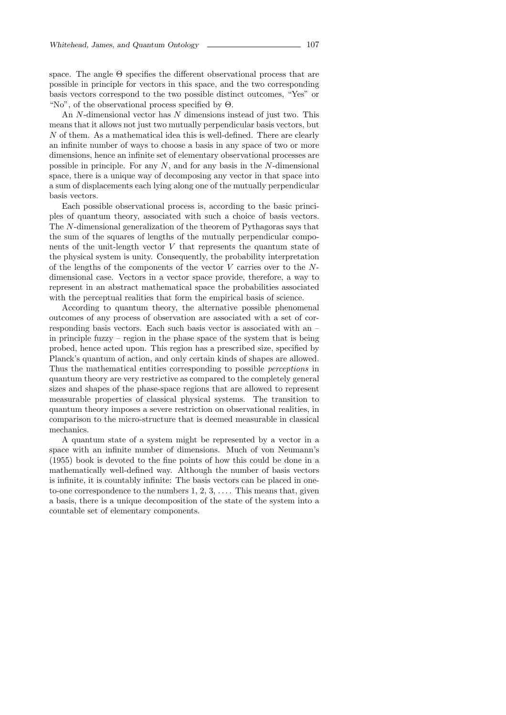space. The angle Θ specifies the different observational process that are possible in principle for vectors in this space, and the two corresponding basis vectors correspond to the two possible distinct outcomes, "Yes" or "No", of the observational process specified by Θ.

An N-dimensional vector has N dimensions instead of just two. This means that it allows not just two mutually perpendicular basis vectors, but N of them. As a mathematical idea this is well-defined. There are clearly an infinite number of ways to choose a basis in any space of two or more dimensions, hence an infinite set of elementary observational processes are possible in principle. For any  $N$ , and for any basis in the  $N$ -dimensional space, there is a unique way of decomposing any vector in that space into a sum of displacements each lying along one of the mutually perpendicular basis vectors.

Each possible observational process is, according to the basic principles of quantum theory, associated with such a choice of basis vectors. The N-dimensional generalization of the theorem of Pythagoras says that the sum of the squares of lengths of the mutually perpendicular components of the unit-length vector  $V$  that represents the quantum state of the physical system is unity. Consequently, the probability interpretation of the lengths of the components of the vector  $V$  carries over to the  $N$ dimensional case. Vectors in a vector space provide, therefore, a way to represent in an abstract mathematical space the probabilities associated with the perceptual realities that form the empirical basis of science.

According to quantum theory, the alternative possible phenomenal outcomes of any process of observation are associated with a set of corresponding basis vectors. Each such basis vector is associated with an – in principle fuzzy – region in the phase space of the system that is being probed, hence acted upon. This region has a prescribed size, specified by Planck's quantum of action, and only certain kinds of shapes are allowed. Thus the mathematical entities corresponding to possible *perceptions* in quantum theory are very restrictive as compared to the completely general sizes and shapes of the phase-space regions that are allowed to represent measurable properties of classical physical systems. The transition to quantum theory imposes a severe restriction on observational realities, in comparison to the micro-structure that is deemed measurable in classical mechanics.

A quantum state of a system might be represented by a vector in a space with an infinite number of dimensions. Much of von Neumann's (1955) book is devoted to the fine points of how this could be done in a mathematically well-defined way. Although the number of basis vectors is infinite, it is countably infinite: The basis vectors can be placed in oneto-one correspondence to the numbers  $1, 2, 3, \ldots$ . This means that, given a basis, there is a unique decomposition of the state of the system into a countable set of elementary components.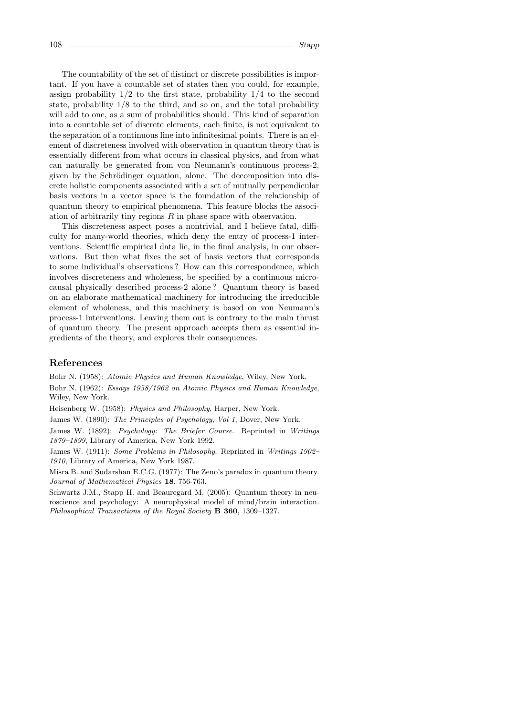The countability of the set of distinct or discrete possibilities is important. If you have a countable set of states then you could, for example, assign probability  $1/2$  to the first state, probability  $1/4$  to the second state, probability 1/8 to the third, and so on, and the total probability will add to one, as a sum of probabilities should. This kind of separation into a countable set of discrete elements, each finite, is not equivalent to the separation of a continuous line into infinitesimal points. There is an element of discreteness involved with observation in quantum theory that is essentially different from what occurs in classical physics, and from what can naturally be generated from von Neumann's continuous process-2, given by the Schrödinger equation, alone. The decomposition into discrete holistic components associated with a set of mutually perpendicular basis vectors in a vector space is the foundation of the relationship of quantum theory to empirical phenomena. This feature blocks the association of arbitrarily tiny regions  $R$  in phase space with observation.

This discreteness aspect poses a nontrivial, and I believe fatal, difficulty for many-world theories, which deny the entry of process-1 interventions. Scientific empirical data lie, in the final analysis, in our observations. But then what fixes the set of basis vectors that corresponds to some individual's observations ? How can this correspondence, which involves discreteness and wholeness, be specified by a continuous microcausal physically described process-2 alone ? Quantum theory is based on an elaborate mathematical machinery for introducing the irreducible element of wholeness, and this machinery is based on von Neumann's process-1 interventions. Leaving them out is contrary to the main thrust of quantum theory. The present approach accepts them as essential ingredients of the theory, and explores their consequences.

### **References**

Bohr N. (1958): *Atomic Physics and Human Knowledge*, Wiley, New York.

Bohr N. (1962): *Essays 1958/1962 on Atomic Physics and Human Knowledge*, Wiley, New York.

Heisenberg W. (1958): *Physics and Philosophy*, Harper, New York.

James W. (1890): *The Principles of Psychology*, *Vol 1*, Dover, New York.

James W. (1892): *Psychology: The Briefer Course*. Reprinted in *Writings 1879–1899*, Library of America, New York 1992.

James W. (1911): *Some Problems in Philosophy*. Reprinted in *Writings 1902– 1910*, Library of America, New York 1987.

Misra B. and Sudarshan E.C.G. (1977): The Zeno's paradox in quantum theory. *Journal of Mathematical Physics* **18**, 756-763.

Schwartz J.M., Stapp H. and Beauregard M. (2005): Quantum theory in neuroscience and psychology: A neurophysical model of mind/brain interaction. *Philosophical Transactions of the Royal Society* **B 360**, 1309–1327.